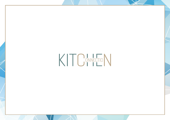KITCMECTON